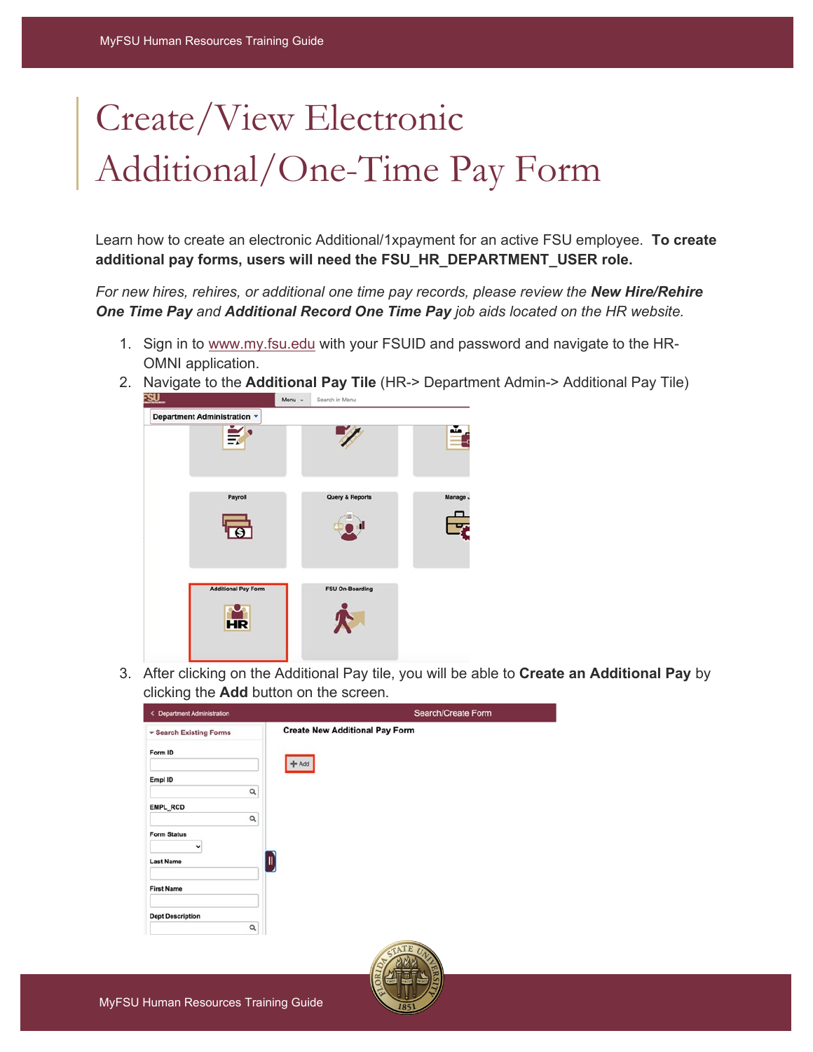## Create/View Electronic Additional/One-Time Pay Form

Learn how to create an electronic Additional/1xpayment for an active FSU employee. **To create additional pay forms, users will need the FSU\_HR\_DEPARTMENT\_USER role.**

*For new hires, rehires, or additional one time pay records, please review the New Hire/Rehire One Time Pay and Additional Record One Time Pay job aids located on the HR website.* 

- 1. Sign in to [www.my.fsu.edu](http://www.my.fsu.edu/) with your FSUID and password and navigate to the HR-OMNI application.
- 2. Navigate to the **Additional Pay Tile** (HR-> Department Admin-> Additional Pay Tile)<br>**ESU** Menu - Search in Menu



3. After clicking on the Additional Pay tile, you will be able to **Create an Additional Pay** by clicking the **Add** button on the screen.

| < Department Administration | Search/Create Form                    |
|-----------------------------|---------------------------------------|
| ▼ Search Existing Forms     | <b>Create New Additional Pay Form</b> |
| Form ID                     | Add                                   |
| Empl ID                     |                                       |
| Q                           |                                       |
| EMPL_RCD                    |                                       |
| Q                           |                                       |
| <b>Form Status</b><br>v     |                                       |
| <b>Last Name</b>            | Ш                                     |
| <b>First Name</b>           |                                       |
| <b>Dept Description</b>     |                                       |
| Q                           |                                       |

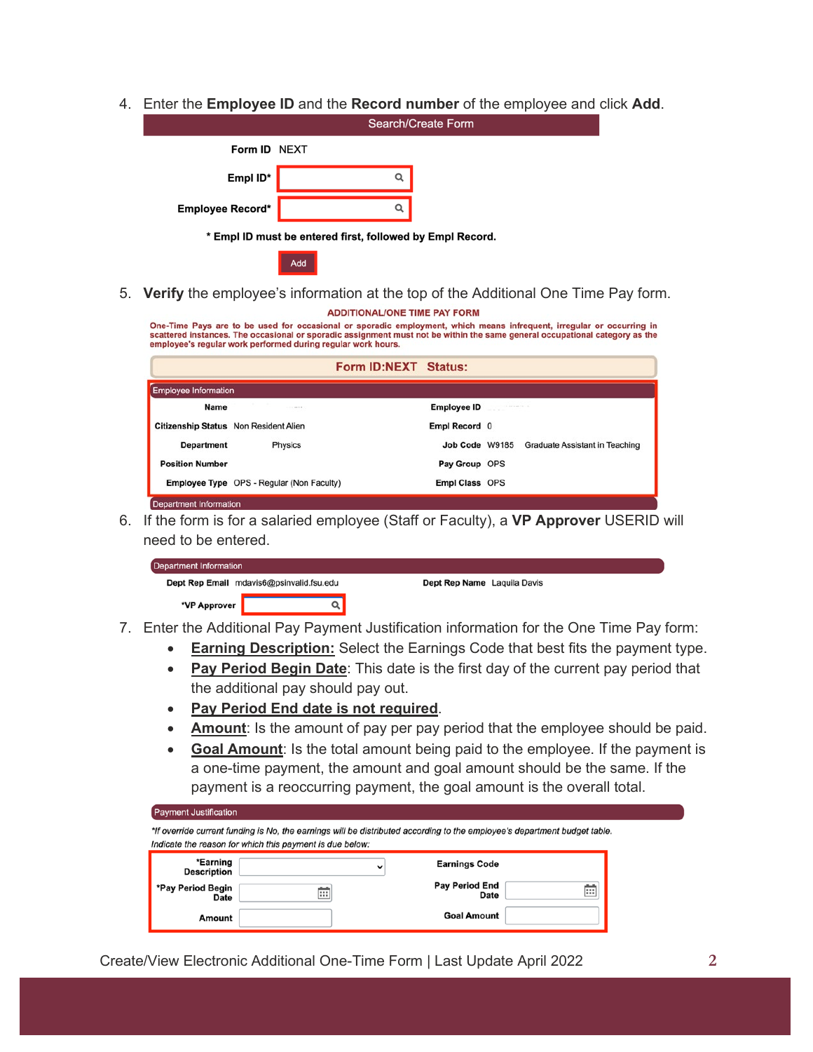4. Enter the **Employee ID** and the **Record number** of the employee and click **Add**.

|                  | <b>Search/Create Form</b>                                 |
|------------------|-----------------------------------------------------------|
| Form ID NEXT     |                                                           |
| Empl ID*         | Q                                                         |
| Employee Record* | Q                                                         |
|                  | * Empl ID must be entered first, followed by Empl Record. |
|                  | Add                                                       |

5. **Verify** the employee's information at the top of the Additional One Time Pay form. **ADDITIONAL/ONE TIME PAY FORM** 

## One-Time Pays are to be used for occasional or sporadic employment, which means infrequent, irregular or occurring in<br>scattered instances. The occasional or sporadic assignment must not be within the same general occupatio employee's regular work performed during regular work hours. Form ID:NEXT Status: **Employee Information Name Employee ID** Citizenship Status Non Resident Alien Empl Record 0 **Department** Physics Job Code W9185 Graduate Assistant in Teaching **Position Number** Pay Group OPS Employee Type OPS - Regular (Non Faculty) Empl Class OPS **Department Information**

6. If the form is for a salaried employee (Staff or Faculty), a **VP Approver** USERID will need to be entered.

| <b>Department Information</b>            |  |                             |  |  |  |
|------------------------------------------|--|-----------------------------|--|--|--|
| Dept Rep Email mdavis6@psinvalid.fsu.edu |  | Dept Rep Name Laquila Davis |  |  |  |
| *VP Approver                             |  |                             |  |  |  |

- 7. Enter the Additional Pay Payment Justification information for the One Time Pay form:
	- **Earning Description:** Select the Earnings Code that best fits the payment type.
	- **Pay Period Begin Date**: This date is the first day of the current pay period that the additional pay should pay out.
	- **Pay Period End date is not required**.
	- **Amount**: Is the amount of pay per pay period that the employee should be paid.
	- **Goal Amount**: Is the total amount being paid to the employee. If the payment is a one-time payment, the amount and goal amount should be the same. If the payment is a reoccurring payment, the goal amount is the overall total.

| <b>Payment Justification</b>     | *If override current funding is No, the earnings will be distributed according to the employee's department budget table.<br>Indicate the reason for which this payment is due below: |                               |   |
|----------------------------------|---------------------------------------------------------------------------------------------------------------------------------------------------------------------------------------|-------------------------------|---|
| *Earning<br><b>Description</b>   | $\check{ }$                                                                                                                                                                           | <b>Earnings Code</b>          |   |
| *Pay Period Begin<br><b>Date</b> | Ë                                                                                                                                                                                     | <b>Pay Period End</b><br>Date | Ħ |
| Amount                           |                                                                                                                                                                                       | <b>Goal Amount</b>            |   |

Create/View Electronic Additional One-Time Form | Last Update April 2022 **2**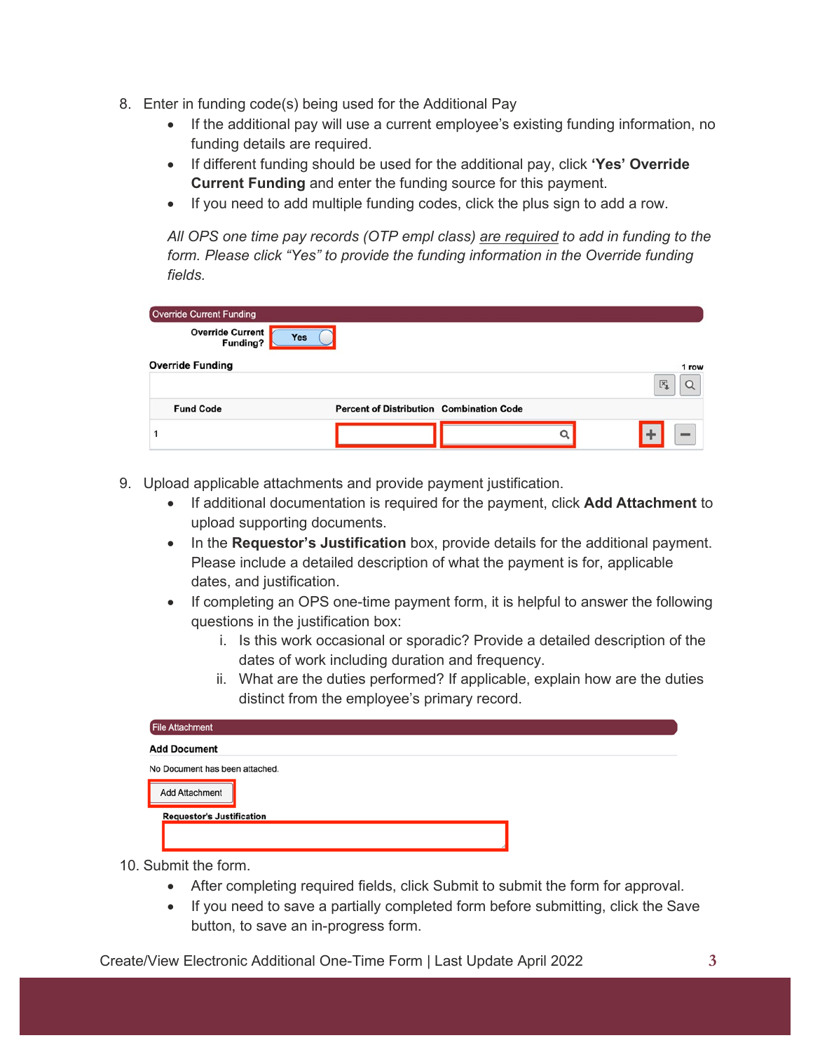- 8. Enter in funding code(s) being used for the Additional Pay
	- If the additional pay will use a current employee's existing funding information, no funding details are required.
	- If different funding should be used for the additional pay, click **'Yes' Override Current Funding** and enter the funding source for this payment.
	- If you need to add multiple funding codes, click the plus sign to add a row.

*All OPS one time pay records (OTP empl class) are required to add in funding to the form. Please click "Yes" to provide the funding information in the Override funding fields.*

| <b>Override Current Funding</b>     |                                                 |                  |
|-------------------------------------|-------------------------------------------------|------------------|
| <b>Override Current</b><br>Funding? | Yes                                             |                  |
| <b>Override Funding</b>             |                                                 | 1 row            |
| <b>Fund Code</b>                    | <b>Percent of Distribution Combination Code</b> | $\overline{[x]}$ |
|                                     |                                                 |                  |

- 9. Upload applicable attachments and provide payment justification.
	- If additional documentation is required for the payment, click **Add Attachment** to upload supporting documents.
	- In the **Requestor's Justification** box, provide details for the additional payment. Please include a detailed description of what the payment is for, applicable dates, and justification.
	- If completing an OPS one-time payment form, it is helpful to answer the following questions in the justification box:
		- i. Is this work occasional or sporadic? Provide a detailed description of the dates of work including duration and frequency.
		- ii. What are the duties performed? If applicable, explain how are the duties distinct from the employee's primary record.

| <b>File Attachment</b>           |  |
|----------------------------------|--|
| <b>Add Document</b>              |  |
| No Document has been attached.   |  |
| Add Attachment                   |  |
| <b>Requestor's Justification</b> |  |
|                                  |  |
|                                  |  |

- 10. Submit the form.
	- After completing required fields, click Submit to submit the form for approval.
	- If you need to save a partially completed form before submitting, click the Save button, to save an in-progress form.

Create/View Electronic Additional One-Time Form | Last Update April 2022 **3**